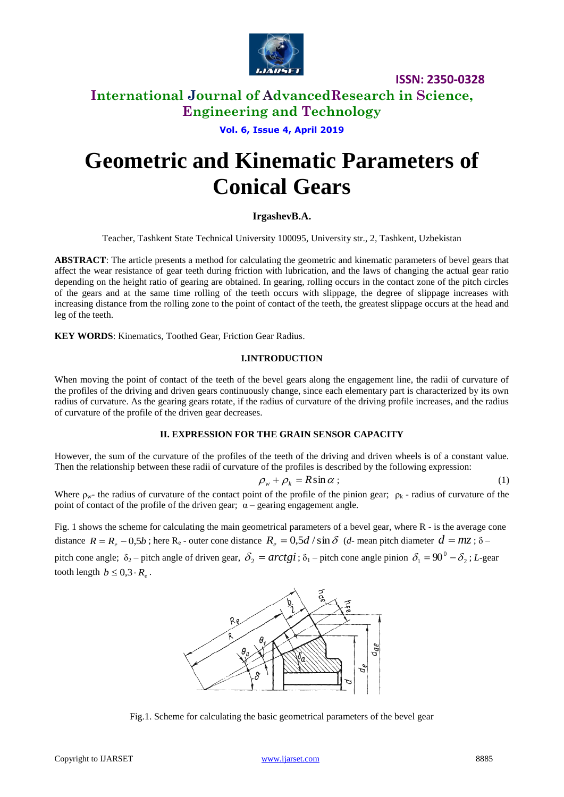

**ISSN: 2350-0328**

### **International Journal of AdvancedResearch in Science, Engineering and Technology**

**Vol. 6, Issue 4, April 2019**

# **Geometric and Kinematic Parameters of Conical Gears**

### **IrgashevB.A.**

Teacher, Tashkent State Technical University 100095, University str., 2, Tashkent, Uzbekistan

**ABSTRACT**: The article presents a method for calculating the geometric and kinematic parameters of bevel gears that affect the wear resistance of gear teeth during friction with lubrication, and the laws of changing the actual gear ratio depending on the height ratio of gearing are obtained. In gearing, rolling occurs in the contact zone of the pitch circles of the gears and at the same time rolling of the teeth occurs with slippage, the degree of slippage increases with increasing distance from the rolling zone to the point of contact of the teeth, the greatest slippage occurs at the head and leg of the teeth.

**KEY WORDS**: Kinematics, Toothed Gear, Friction Gear Radius.

#### **I.INTRODUCTION**

When moving the point of contact of the teeth of the bevel gears along the engagement line, the radii of curvature of the profiles of the driving and driven gears continuously change, since each elementary part is characterized by its own radius of curvature. As the gearing gears rotate, if the radius of curvature of the driving profile increases, and the radius of curvature of the profile of the driven gear decreases.

#### **II. EXPRESSION FOR THE GRAIN SENSOR CAPACITY**

However, the sum of the curvature of the profiles of the teeth of the driving and driven wheels is of a constant value. Then the relationship between these radii of curvature of the profiles is described by the following expression:

$$
\rho_w + \rho_k = R \sin \alpha \tag{1}
$$

Where  $\rho_{w}$ - the radius of curvature of the contact point of the profile of the pinion gear;  $\rho_{k}$ -radius of curvature of the point of contact of the profile of the driven gear;  $\alpha$  – gearing engagement angle.

Fig. 1 shows the scheme for calculating the main geometrical parameters of a bevel gear, where R - is the average cone distance  $R = R_e - 0.5b$ ; here  $R_e$  - outer cone distance  $R_e = 0.5d / \sin \delta$  (*d*- mean pitch diameter  $d = mz$ ;  $\delta$  -

pitch cone angle;  $\delta_2$  – pitch angle of driven gear,  $\delta_2 = arctgi$ ;  $\delta_1$  – pitch cone angle pinion  $\delta_1 = 90^\circ - \delta_2$ ; *L*-gear tooth length  $b \leq 0, 3 \cdot R_e$ .



Fig.1. Scheme for calculating the basic geometrical parameters of the bevel gear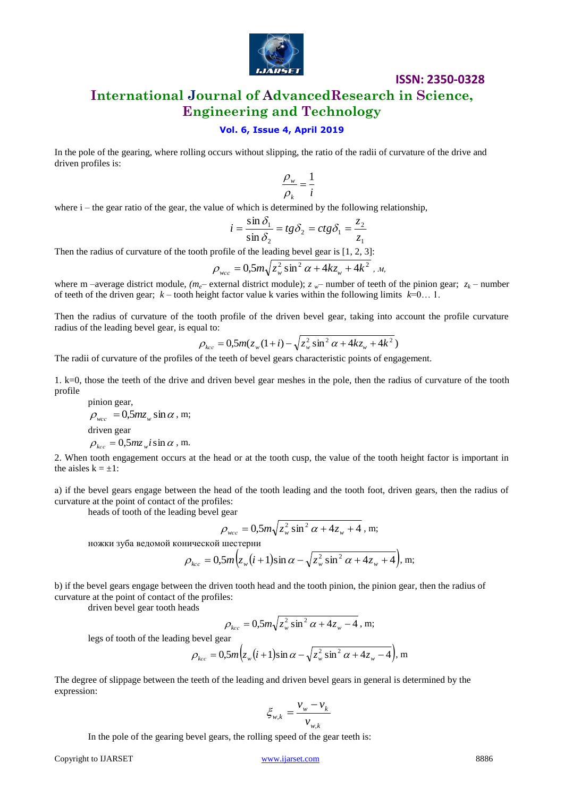

### **ISSN: 2350-0328 International Journal of AdvancedResearch in Science,**

## **Engineering and Technology**

### **Vol. 6, Issue 4, April 2019**

In the pole of the gearing, where rolling occurs without slipping, the ratio of the radii of curvature of the drive and driven profiles is:

$$
\frac{\rho_w}{\rho_k} = \frac{1}{i}
$$

where  $i$  – the gear ratio of the gear, the value of which is determined by the following relationship,

$$
i = \frac{\sin \delta_1}{\sin \delta_2} = tg\delta_2 = ctg\delta_1 = \frac{z_2}{z_1}
$$

Then the radius of curvature of the tooth profile of the leading bevel gear is  $[1, 2, 3]$ :

$$
\rho_{wcc} = 0.5 m \sqrt{z_w^2 \sin^2 \alpha + 4kz_w + 4k^2} \, , \, M
$$

where m –average district module, ( $m_e$ – external district module);  $z_w$ – number of teeth of the pinion gear;  $z_k$ – number of teeth of the driven gear;  $k$  – tooth height factor value k varies within the following limits  $k=0...1$ .

Then the radius of curvature of the tooth profile of the driven bevel gear, taking into account the profile curvature radius of the leading bevel gear, is equal to:

$$
\rho_{kcc} = 0.5m(z_w(1+i) - \sqrt{z_w^2 \sin^2 \alpha + 4kz_w + 4k^2})
$$

The radii of curvature of the profiles of the teeth of bevel gears characteristic points of engagement.

1.  $k=0$ , those the teeth of the drive and driven bevel gear meshes in the pole, then the radius of curvature of the tooth profile

pinion gear,  
\n
$$
\rho_{wcc} = 0.5m z_w \sin \alpha
$$
, m;  
\ndriven gear  
\n $\rho_{kcc} = 0.5m z_w i \sin \alpha$ , m.

2. When tooth engagement occurs at the head or at the tooth cusp, the value of the tooth height factor is important in the aisles  $k = \pm 1$ :

a) if the bevel gears engage between the head of the tooth leading and the tooth foot, driven gears, then the radius of curvature at the point of contact of the profiles:

heads of tooth of the leading bevel gear

$$
\rho_{wcc} = 0.5 m \sqrt{z_w^2 \sin^2 \alpha + 4z_w + 4} \, , \, \text{m};
$$

ножки зуба ведомой конической шестерни

$$
\rho_{kcc} = 0.5m\Big(z_w\big(i+1\big)\sin\alpha - \sqrt{z_w^2\sin^2\alpha + 4z_w + 4}\Big), \text{ m};
$$

b) if the bevel gears engage between the driven tooth head and the tooth pinion, the pinion gear, then the radius of curvature at the point of contact of the profiles:

driven bevel gear tooth heads

$$
\rho_{kcc} = 0.5 m \sqrt{z_w^2 \sin^2 \alpha + 4z_w - 4}
$$
, m;

legs of tooth of the leading bevel gear

$$
\rho_{kcc} = 0.5m\Big(z_w\big(i+1\big)\sin\alpha - \sqrt{z_w^2\sin^2\alpha + 4z_w - 4}\Big), \text{ m}
$$

The degree of slippage between the teeth of the leading and driven bevel gears in general is determined by the expression:

$$
\xi_{w,k} = \frac{v_w - v_k}{v_{w,k}}
$$

In the pole of the gearing bevel gears, the rolling speed of the gear teeth is:

www.ijarset.com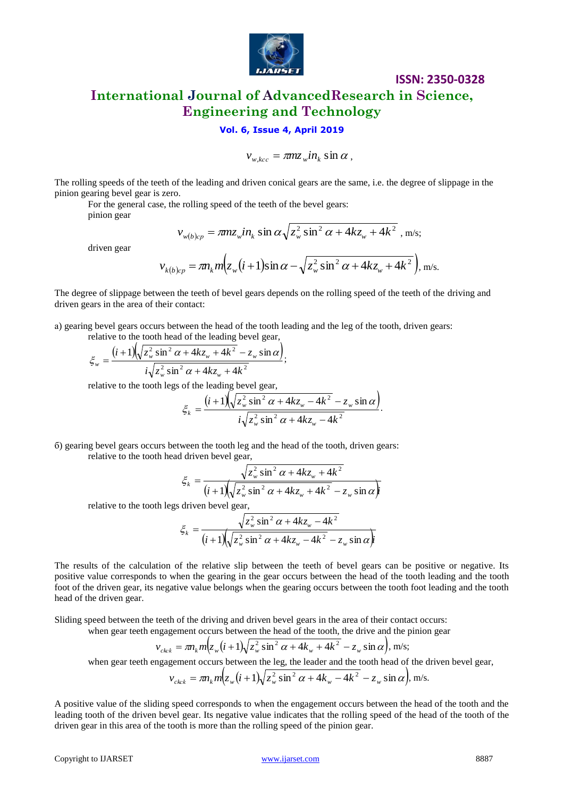

### **ISSN: 2350-0328 International Journal of AdvancedResearch in Science, Engineering and Technology**

### **Vol. 6, Issue 4, April 2019**

$$
v_{w,kcc} = \pi m z_w i n_k \sin \alpha ,
$$

The rolling speeds of the teeth of the leading and driven conical gears are the same, i.e. the degree of slippage in the pinion gearing bevel gear is zero.

For the general case, the rolling speed of the teeth of the bevel gears:

pinion gear

$$
v_{w(b)cp} = \pi m z_w i n_k \sin \alpha \sqrt{z_w^2 \sin^2 \alpha + 4k z_w + 4k^2}
$$
, m/s;

driven gear

$$
v_{w(b)cp} = \pi n_{k} m(z_w t + 1) \sin \alpha \sqrt{z_w} \sin^2 \alpha + 4kz_w + 4k
$$
, nvs,  

$$
v_{k(b)cp} = \pi n_{k} m(z_w (t+1) \sin \alpha - \sqrt{z_w^2 \sin^2 \alpha + 4kz_w + 4k^2}),
$$
 m/s.

The degree of slippage between the teeth of bevel gears depends on the rolling speed of the teeth of the driving and driven gears in the area of their contact:

а) gearing bevel gears occurs between the head of the tooth leading and the leg of the tooth, driven gears:

relative to the tooth head of the leading bevel gear,  

$$
\xi_w = \frac{(i+1)\sqrt{z_w^2 \sin^2 \alpha + 4kz_w + 4k^2} - z_w \sin \alpha}{i\sqrt{z_w^2 \sin^2 \alpha + 4kz_w + 4k^2}},
$$

relative to the tooth legs of the leading bevel gear,  
\n
$$
\xi_k = \frac{(i+1)\sqrt{z_w^2 \sin^2 \alpha + 4kz_w - 4k^2} - z_w \sin \alpha}{i\sqrt{z_w^2 \sin^2 \alpha + 4kz_w - 4k^2}}.
$$

;

б) gearing bevel gears occurs between the tooth leg and the head of the tooth, driven gears: relative to the tooth head driven bevel gear,

d driven bevel gear,  
\n
$$
\xi_k = \frac{\sqrt{z_w^2 \sin^2 \alpha + 4kz_w + 4k^2}}{(i+1)\sqrt{z_w^2 \sin^2 \alpha + 4kz_w + 4k^2} - z_w \sin \alpha}
$$

relative to the tooth legs driven bevel gear,

s driven bevel gear,  
\n
$$
\xi_k = \frac{\sqrt{z_w^2 \sin^2 \alpha + 4kz_w - 4k^2}}{(i+1)\sqrt{z_w^2 \sin^2 \alpha + 4kz_w - 4k^2} - z_w \sin \alpha}
$$

The soliting speeds to the teech still the bealing and lation varied gears are the same, i.e. the degree of shyresters in the lation gears are the same i.e. the degree of shyresters in the term is the term of the gears of The results of the calculation of the relative slip between the teeth of bevel gears can be positive or negative. Its positive value corresponds to when the gearing in the gear occurs between the head of the tooth leading and the tooth foot of the driven gear, its negative value belongs when the gearing occurs between the tooth foot leading and the tooth head of the driven gear.

Sliding speed between the teeth of the driving and driven bevel gears in the area of their contact occurs:

when gear teeth engagement occurs between the head of the tooth, the drive and the pinion gear

$$
v_{ckck} = \pi n_k m \Big( z_w (i+1) \sqrt{z_w^2 \sin^2 \alpha + 4k_w + 4k^2} - z_w \sin \alpha \Big), \text{ m/s};
$$

when gear teeth engagement occurs between the leg, the leader and the tooth head of the driven bevel gear,  $^{2}$  ain  $^{2}$   $\alpha + 4k$   $4k^{2}$ 

$$
v_{ckck} = \pi n_k m \Big( z_w (i+1) \sqrt{z_w^2 \sin^2 \alpha + 4k_w - 4k^2} - z_w \sin \alpha \Big), \text{ m/s.}
$$

A positive value of the sliding speed corresponds to when the engagement occurs between the head of the tooth and the leading tooth of the driven bevel gear. Its negative value indicates that the rolling speed of the head of the tooth of the driven gear in this area of the tooth is more than the rolling speed of the pinion gear.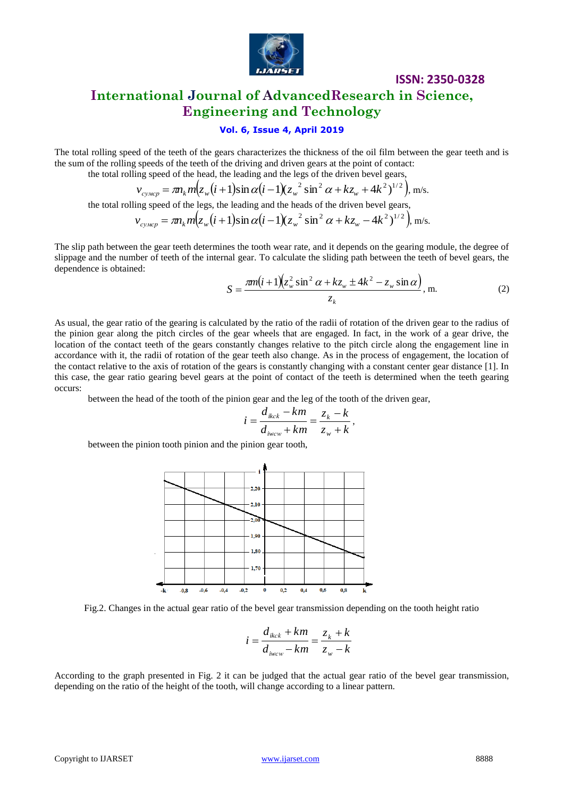

### **ISSN: 2350-0328 International Journal of AdvancedResearch in Science, Engineering and Technology**

### **Vol. 6, Issue 4, April 2019**

The total rolling speed of the teeth of the gears characterizes the thickness of the oil film between the gear teeth and is the sum of the rolling speed of the teeth of the driving and driven gears at the point of contact:<br> *v v <sub>cymep</sub>* =  $m_k m(z_w(i+1) \sin \alpha(i-1) (z_w^2 \sin^2 \alpha + kz_w + 4k^2)^{1/2})$ , *n* 

the total rolling speed of the head, the leading and the legs of the driven bevel gears,

$$
v_{cymcp} = \pi n_k m (z_w (i+1) \sin \alpha (i-1) (z_w^2 \sin^2 \alpha + kz_w + 4k^2)^{1/2}),
$$
 m/s.

the total rolling speed of the legs, the leading and the heads of the driven bevel gears,

$$
v_{cymcp} = \pi n_k m (z_w (i+1) \sin \alpha (i-1) (z_w^2 \sin^2 \alpha + kz_w + 4k^2)^{1/2}), \text{ m/s.}
$$
  
ling speed of the legs, the leading and the heads of the driven bevel gears,  

$$
v_{cymcp} = \pi n_k m (z_w (i+1) \sin \alpha (i-1) (z_w^2 \sin^2 \alpha + kz_w - 4k^2)^{1/2}), \text{ m/s.}
$$

The slip path between the gear teeth determines the tooth wear rate, and it depends on the gearing module, the degree of slippage and the number of teeth of the internal gear. To calculate the sliding path between the teeth of bevel gears, the dependence is obtained:<br> $S = \frac{\pi m(i + 1)(z_w^2 \sin^2 \alpha + kz_w \pm 4k^2 - z_w \sin \alpha)}{m}$ , m. (2) dependence is obtained:

$$
S = \frac{\pi m(i+1)(z_w^2 \sin^2 \alpha + kz_w \pm 4k^2 - z_w \sin \alpha)}{z_k}, \text{m.}
$$
 (2)

As usual, the gear ratio of the gearing is calculated by the ratio of the radii of rotation of the driven gear to the radius of the pinion gear along the pitch circles of the gear wheels that are engaged. In fact, in the work of a gear drive, the location of the contact teeth of the gears constantly changes relative to the pitch circle along the engagement line in accordance with it, the radii of rotation of the gear teeth also change. As in the process of engagement, the location of the contact relative to the axis of rotation of the gears is constantly changing with a constant center gear distance [1]. In this case, the gear ratio gearing bevel gears at the point of contact of the teeth is determined when the teeth gearing occurs:

between the head of the tooth of the pinion gear and the leg of the tooth of the driven gear,

$$
i = \frac{d_{ikck} - km}{d_{iwcw} + km} = \frac{z_k - k}{z_w + k},
$$

between the pinion tooth pinion and the pinion gear tooth,



Fig.2. Changes in the actual gear ratio of the bevel gear transmission depending on the tooth height ratio

$$
i = \frac{d_{ikck} + km}{d_{iwcw} - km} = \frac{z_k + k}{z_w - k}
$$

According to the graph presented in Fig. 2 it can be judged that the actual gear ratio of the bevel gear transmission, depending on the ratio of the height of the tooth, will change according to a linear pattern.